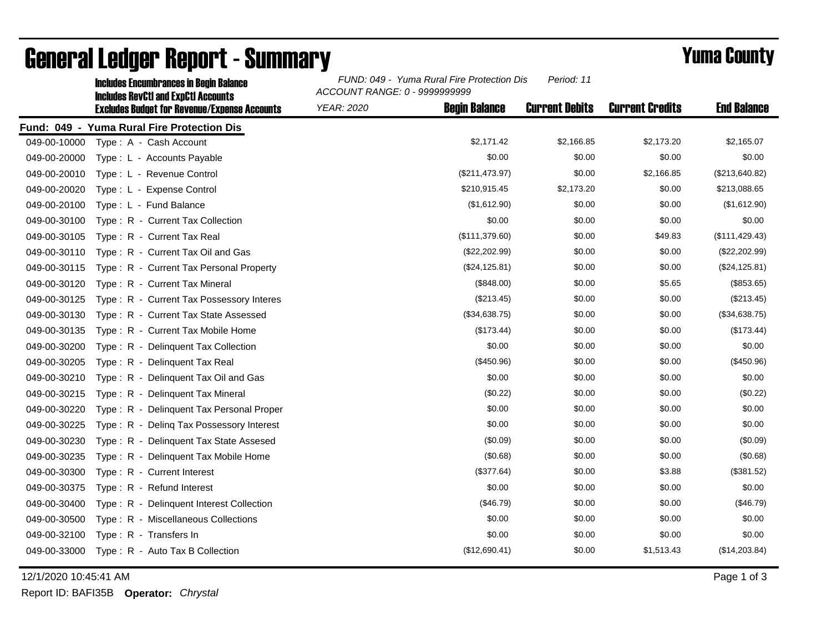|              | <b>Includes Encumbrances in Begin Balance</b><br><b>Includes RevCtI and ExpCtI Accounts</b> | FUND: 049 - Yuma Rural Fire Protection Dis<br>Period: 11<br>ACCOUNT RANGE: 0 - 9999999999 |                       |                        |                    |  |
|--------------|---------------------------------------------------------------------------------------------|-------------------------------------------------------------------------------------------|-----------------------|------------------------|--------------------|--|
|              | <b>Excludes Budget for Revenue/Expense Accounts</b>                                         | <b>Begin Balance</b><br><b>YEAR: 2020</b>                                                 | <b>Current Debits</b> | <b>Current Credits</b> | <b>End Balance</b> |  |
|              | Fund: 049 - Yuma Rural Fire Protection Dis                                                  |                                                                                           |                       |                        |                    |  |
| 049-00-10000 | Type: A - Cash Account                                                                      | \$2,171.42                                                                                | \$2,166.85            | \$2,173.20             | \$2,165.07         |  |
| 049-00-20000 | Type: L - Accounts Payable                                                                  | \$0.00                                                                                    | \$0.00                | \$0.00                 | \$0.00             |  |
| 049-00-20010 | Type: L - Revenue Control                                                                   | (\$211,473.97)                                                                            | \$0.00                | \$2,166.85             | (\$213,640.82)     |  |
| 049-00-20020 | Type: L - Expense Control                                                                   | \$210,915.45                                                                              | \$2,173.20            | \$0.00                 | \$213,088.65       |  |
| 049-00-20100 | Type: L - Fund Balance                                                                      | (\$1,612.90)                                                                              | \$0.00                | \$0.00                 | (\$1,612.90)       |  |
| 049-00-30100 | Type: R - Current Tax Collection                                                            | \$0.00                                                                                    | \$0.00                | \$0.00                 | \$0.00             |  |
| 049-00-30105 | Type: R - Current Tax Real                                                                  | (\$111,379.60)                                                                            | \$0.00                | \$49.83                | (\$111, 429.43)    |  |
| 049-00-30110 | Type: R - Current Tax Oil and Gas                                                           | (\$22,202.99)                                                                             | \$0.00                | \$0.00                 | (\$22,202.99)      |  |
| 049-00-30115 | Type: R - Current Tax Personal Property                                                     | (\$24,125.81)                                                                             | \$0.00                | \$0.00                 | (\$24, 125.81)     |  |
| 049-00-30120 | Type: R - Current Tax Mineral                                                               | (\$848.00)                                                                                | \$0.00                | \$5.65                 | (\$853.65)         |  |
| 049-00-30125 | Type: R - Current Tax Possessory Interes                                                    | (\$213.45)                                                                                | \$0.00                | \$0.00                 | (\$213.45)         |  |
| 049-00-30130 | Type: R - Current Tax State Assessed                                                        | (\$34,638.75)                                                                             | \$0.00                | \$0.00                 | (\$34,638.75)      |  |
| 049-00-30135 | Type: R - Current Tax Mobile Home                                                           | (\$173.44)                                                                                | \$0.00                | \$0.00                 | (\$173.44)         |  |
| 049-00-30200 | Type: R - Delinquent Tax Collection                                                         | \$0.00                                                                                    | \$0.00                | \$0.00                 | \$0.00             |  |
| 049-00-30205 | Type: R - Delinguent Tax Real                                                               | (\$450.96)                                                                                | \$0.00                | \$0.00                 | (\$450.96)         |  |
| 049-00-30210 | Type: R - Delinquent Tax Oil and Gas                                                        | \$0.00                                                                                    | \$0.00                | \$0.00                 | \$0.00             |  |
| 049-00-30215 | Type: R - Delinquent Tax Mineral                                                            | (\$0.22)                                                                                  | \$0.00                | \$0.00                 | (\$0.22)           |  |
| 049-00-30220 | Type: R - Delinquent Tax Personal Proper                                                    | \$0.00                                                                                    | \$0.00                | \$0.00                 | \$0.00             |  |
| 049-00-30225 | Type: R - Deling Tax Possessory Interest                                                    | \$0.00                                                                                    | \$0.00                | \$0.00                 | \$0.00             |  |
| 049-00-30230 | Type: R - Delinquent Tax State Assesed                                                      | (\$0.09)                                                                                  | \$0.00                | \$0.00                 | (\$0.09)           |  |
| 049-00-30235 | Type: R - Delinquent Tax Mobile Home                                                        | (\$0.68)                                                                                  | \$0.00                | \$0.00                 | (\$0.68)           |  |
| 049-00-30300 | Type: R - Current Interest                                                                  | (\$377.64)                                                                                | \$0.00                | \$3.88                 | (\$381.52)         |  |
| 049-00-30375 | Type: R - Refund Interest                                                                   | \$0.00                                                                                    | \$0.00                | \$0.00                 | \$0.00             |  |
| 049-00-30400 | Type: R - Delinquent Interest Collection                                                    | (\$46.79)                                                                                 | \$0.00                | \$0.00                 | (\$46.79)          |  |
| 049-00-30500 | Type: R - Miscellaneous Collections                                                         | \$0.00                                                                                    | \$0.00                | \$0.00                 | \$0.00             |  |
| 049-00-32100 | Type: R - Transfers In                                                                      | \$0.00                                                                                    | \$0.00                | \$0.00                 | \$0.00             |  |
| 049-00-33000 | Type: R - Auto Tax B Collection                                                             | (\$12,690.41)                                                                             | \$0.00                | \$1,513.43             | (\$14,203.84)      |  |

## General Ledger Report - Summary **Example 2018** Yuma County

12/1/2020 10:45:41 AM Page 1 of 3

Report ID: BAFI35B **Operator:** *Chrystal*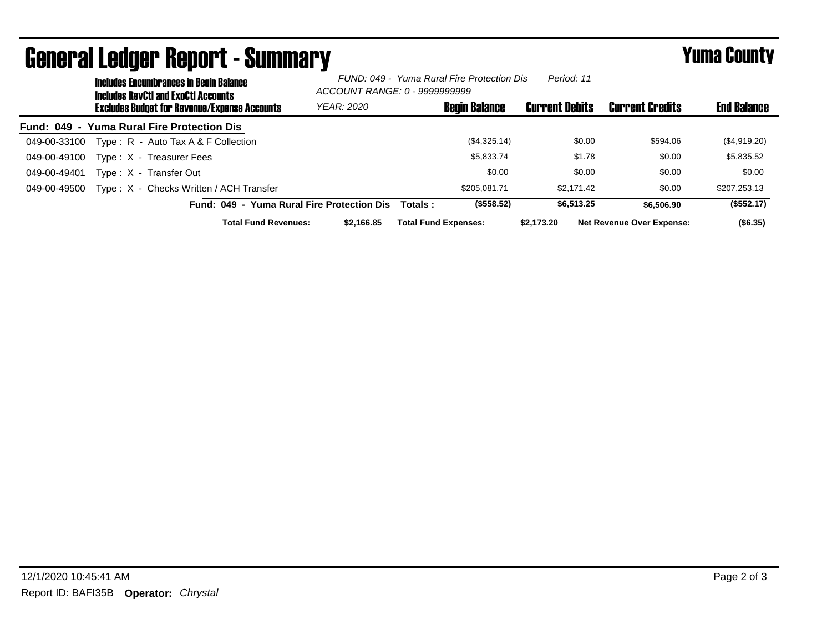|              | uviivi di Luuyvi Tiupui ta Vannilai y<br><b>Includes Encumbrances in Begin Balance</b>     | Period: 11<br>FUND: 049 - Yuma Rural Fire Protection Dis<br>ACCOUNT RANGE: 0 - 9999999999 |                             |                      | .                     |                                  |                    |
|--------------|--------------------------------------------------------------------------------------------|-------------------------------------------------------------------------------------------|-----------------------------|----------------------|-----------------------|----------------------------------|--------------------|
|              | Includes RevCtI and ExpCtI Accounts<br><b>Excludes Budget for Revenue/Expense Accounts</b> | <b>YEAR: 2020</b>                                                                         |                             | <b>Begin Balance</b> | <b>Current Debits</b> | <b>Current Credits</b>           | <b>End Balance</b> |
|              | Fund: 049 - Yuma Rural Fire Protection Dis                                                 |                                                                                           |                             |                      |                       |                                  |                    |
| 049-00-33100 | Type: R - Auto Tax A & F Collection                                                        |                                                                                           |                             | (\$4,325.14)         | \$0.00                | \$594.06                         | (\$4,919.20)       |
| 049-00-49100 | Type: X - Treasurer Fees                                                                   |                                                                                           |                             | \$5,833,74           | \$1.78                | \$0.00                           | \$5,835.52         |
| 049-00-49401 | Type: X - Transfer Out                                                                     |                                                                                           |                             | \$0.00               | \$0.00                | \$0.00                           | \$0.00             |
| 049-00-49500 | Type: X - Checks Written / ACH Transfer                                                    |                                                                                           |                             | \$205.081.71         | \$2.171.42            | \$0.00                           | \$207,253.13       |
|              | Fund: 049 - Yuma Rural Fire Protection Dis                                                 |                                                                                           | Totals :                    | (\$558.52)           | \$6,513.25            | \$6,506.90                       | (\$552.17)         |
|              | <b>Total Fund Revenues:</b>                                                                | \$2.166.85                                                                                | <b>Total Fund Expenses:</b> |                      | \$2.173.20            | <b>Net Revenue Over Expense:</b> | $($ \$6.35)        |

General Ledger Report - Summary Yuma County